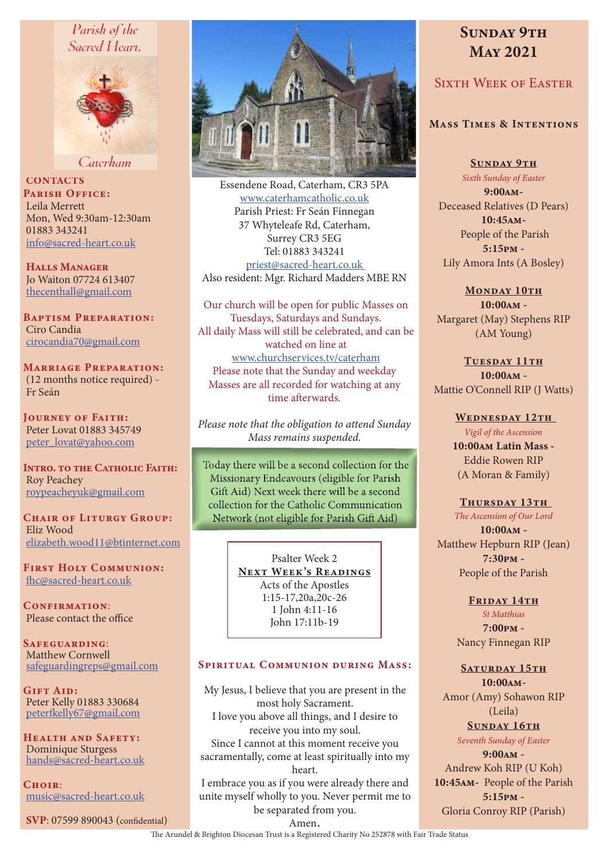# Parish of the Sacred Heart.



Caterham

**CONTACTS** PARISH OFFICE: Leila Merrett Mon, Wed 9:30am-12:30am 01883 343241 info@sacred-heart.co.uk

Halls Manager Jo Waiton 07724 613407 thecenthall@gmail.com

Baptism Preparation: Ciro Candia cirocandia70@gmail.com

Marriage Preparation: (12 months notice required) - Fr Seán

Journey of Faith: Peter Lovat 01883 345749 peter\_lovat@yahoo.com

INTRO. TO THE CATHOLIC FAITH: Roy Peachey roypeacheyuk@gmail.com

CHAIR OF LITURGY GROUP: Eliz Wood elizabeth.wood11@btinternet.com

First Holy Communion: fhc@sacred-heart.co.uk

CONFIRMATION: Please contact the office

SAFEGUARDING: Matthew Cornwell safeguardingreps@gmail.com

Gift Aid: Peter Kelly 01883 330684 peterfkelly67@gmail.com

Health and Safety: Dominique Sturgess hands@sacred-heart.co.uk

 $C$ HOIR $\cdot$ music@sacred-heart.co.uk

SVP: 07599 890043 (confidential)



Essendene Road, Caterham, CR3 5PA www.caterhamcatholic.co.uk Parish Priest: Fr Seán Finnegan 37 Whyteleafe Rd, Caterham, Surrey CR3 5EG Tel: 01883 343241 priest@sacred-heart.co.uk Also resident: Mgr. Richard Madders MBE RN

Our church will be open for public Masses on Tuesdays, Saturdays and Sundays. All daily Mass will still be celebrated, and can be watched on line at www.churchservices.tv/caterham Please note that the Sunday and weekday Masses are all recorded for watching at any time afterwards.

*Please note that the obligation to attend Sunday Mass remains suspended.*

Today there will be a second collection for the Missionary Endeavours (eligible for Parish Gift Aid) Next week there will be a second collection for the Catholic Communication Network (not eligible for Parish Gift Aid)

> Psalter Week 2 NEXT WEEK'S READINGS Acts of the Apostles 1:15-17,20a,20c-26 1 John 4:11-16 John 17:11b-19

#### SPIRITUAL COMMUNION DURING MASS:

My Jesus, I believe that you are present in the most holy Sacrament. I love you above all things, and I desire to receive you into my soul. Since I cannot at this moment receive you sacramentally, come at least spiritually into my heart. I embrace you as if you were already there and unite myself wholly to you. Never permit me to be separated from you.

# SUNDAY 9TH May 2021

# Sixth Week of Easter

# Mass Times & Intentions

SUNDAY 9TH

*Sixth Sunday of Easter* 9:00am-Deceased Relatives (D Pears) 10:45am- People of the Parish 5:15pm - Lily Amora Ints (A Bosley)

MONDAY 10TH 10:00am - Margaret (May) Stephens RIP (AM Young)

TUESDAY 11TH 10:00am - Mattie O'Connell RIP (J Watts)

# WEDNESDAY 12TH

*Vigil of the Ascension*  10:00am Latin Mass -

Eddie Rowen RIP (A Moran & Family)

THURSDAY 13TH *The Ascension of Our Lord* 10:00am - Matthew Hepburn RIP (Jean) 7:30pm - People of the Parish

FRIDAY 14TH

*St Matthias* 7:00pm - Nancy Finnegan RIP

SATURDAY 15TH 10:00am-Amor (Amy) Sohawon RIP

(Leila) SUNDAY 16TH

*Seventh Sunday of Easter*  $9:00AM -$ Andrew Koh RIP (U Koh) 10:45am- People of the Parish 5:15pm - Gloria Conroy RIP (Parish)

Amen. The Arundel & Brighton Diocesan Trust is a Registered Charity No 252878 with Fair Trade Status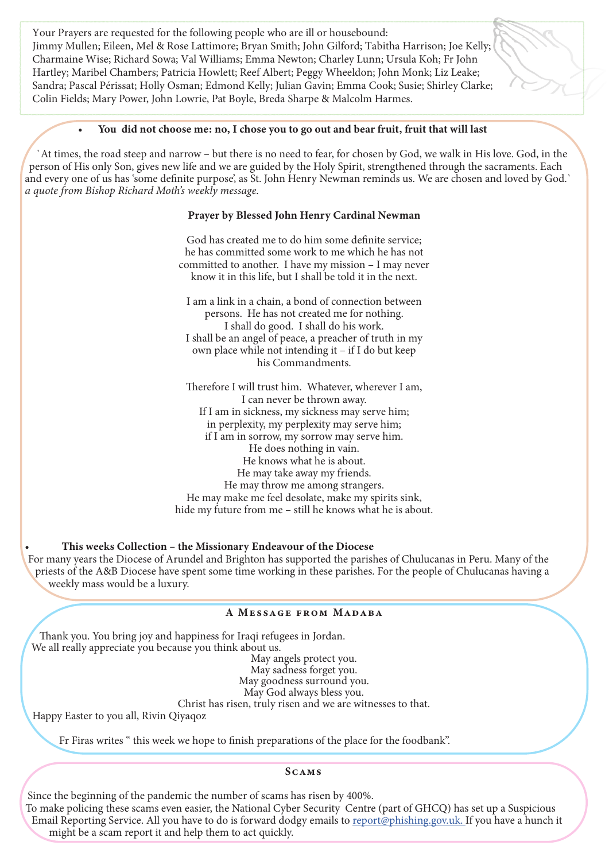Your Prayers are requested for the following people who are ill or housebound: Jimmy Mullen; Eileen, Mel & Rose Lattimore; Bryan Smith; John Gilford; Tabitha Harrison; Joe Kelly; Charmaine Wise; Richard Sowa; Val Williams; Emma Newton; Charley Lunn; Ursula Koh; Fr John Hartley; Maribel Chambers; Patricia Howlett; Reef Albert; Peggy Wheeldon; John Monk; Liz Leake; Sandra; Pascal Périssat; Holly Osman; Edmond Kelly; Julian Gavin; Emma Cook; Susie; Shirley Clarke; Colin Fields; Mary Power, John Lowrie, Pat Boyle, Breda Sharpe & Malcolm Harmes.

#### • You did not choose me: no, I chose you to go out and bear fruit, fruit that will last

`At times, the road steep and narrow – but there is no need to fear, for chosen by God, we walk in His love. God, in the person of His only Son, gives new life and we are guided by the Holy Spirit, strengthened through the sacraments. Each and every one of us has 'some definite purpose', as St. John Henry Newman reminds us. We are chosen and loved by God.` *a quote from Bishop Richard Moth's weekly message.*

## Prayer by Blessed John Henry Cardinal Newman

God has created me to do him some definite service; he has committed some work to me which he has not committed to another. I have my mission – I may never know it in this life, but I shall be told it in the next.

I am a link in a chain, a bond of connection between persons. He has not created me for nothing. I shall do good. I shall do his work. I shall be an angel of peace, a preacher of truth in my own place while not intending it – if I do but keep his Commandments.

Therefore I will trust him. Whatever, wherever I am, I can never be thrown away. If I am in sickness, my sickness may serve him; in perplexity, my perplexity may serve him; if I am in sorrow, my sorrow may serve him. He does nothing in vain. He knows what he is about. He may take away my friends. He may throw me among strangers. He may make me feel desolate, make my spirits sink, hide my future from me – still he knows what he is about.

#### • This weeks Collection – the Missionary Endeavour of the Diocese

For many years the Diocese of Arundel and Brighton has supported the parishes of Chulucanas in Peru. Many of the priests of the A&B Diocese have spent some time working in these parishes. For the people of Chulucanas having a weekly mass would be a luxury.

#### A MESSAGE FROM MADABA

Thank you. You bring joy and happiness for Iraqi refugees in Jordan. We all really appreciate you because you think about us.

> May angels protect you. May sadness forget you. May goodness surround you. May God always bless you.

Christ has risen, truly risen and we are witnesses to that.

Happy Easter to you all, Rivin Qiyaqoz

Fr Firas writes " this week we hope to finish preparations of the place for the foodbank".

#### **SCAMS**

Since the beginning of the pandemic the number of scams has risen by 400%.

To make policing these scams even easier, the National Cyber Security Centre (part of GHCQ) has set up a Suspicious Email Reporting Service. All you have to do is forward dodgy emails to report@phishing.gov.uk. If you have a hunch it might be a scam report it and help them to act quickly.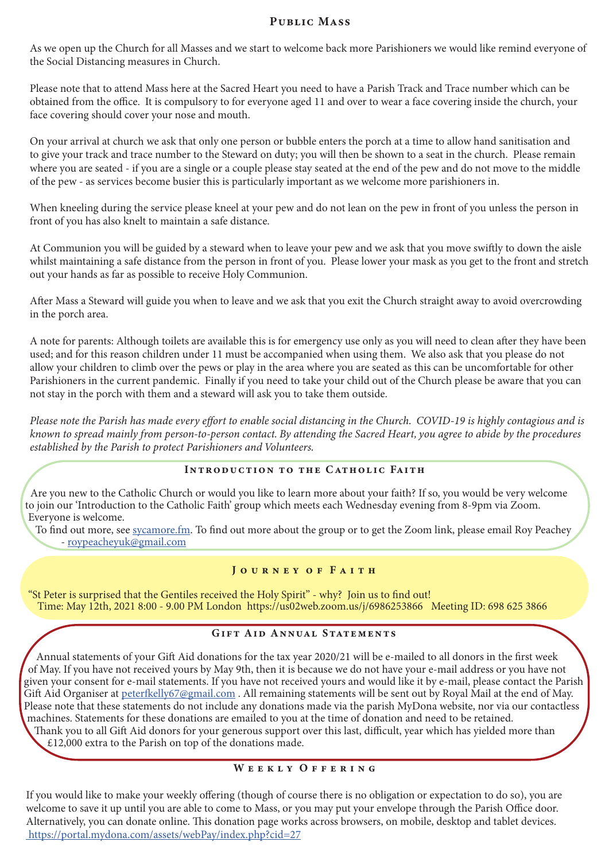# PUBLIC MASS

As we open up the Church for all Masses and we start to welcome back more Parishioners we would like remind everyone of the Social Distancing measures in Church.

Please note that to attend Mass here at the Sacred Heart you need to have a Parish Track and Trace number which can be obtained from the office. It is compulsory to for everyone aged 11 and over to wear a face covering inside the church, your face covering should cover your nose and mouth.

On your arrival at church we ask that only one person or bubble enters the porch at a time to allow hand sanitisation and to give your track and trace number to the Steward on duty; you will then be shown to a seat in the church. Please remain where you are seated - if you are a single or a couple please stay seated at the end of the pew and do not move to the middle of the pew - as services become busier this is particularly important as we welcome more parishioners in.

When kneeling during the service please kneel at your pew and do not lean on the pew in front of you unless the person in front of you has also knelt to maintain a safe distance.

At Communion you will be guided by a steward when to leave your pew and we ask that you move swiftly to down the aisle whilst maintaining a safe distance from the person in front of you. Please lower your mask as you get to the front and stretch out your hands as far as possible to receive Holy Communion.

After Mass a Steward will guide you when to leave and we ask that you exit the Church straight away to avoid overcrowding in the porch area.

A note for parents: Although toilets are available this is for emergency use only as you will need to clean after they have been used; and for this reason children under 11 must be accompanied when using them. We also ask that you please do not allow your children to climb over the pews or play in the area where you are seated as this can be uncomfortable for other Parishioners in the current pandemic. Finally if you need to take your child out of the Church please be aware that you can not stay in the porch with them and a steward will ask you to take them outside.

*Please note the Parish has made every effort to enable social distancing in the Church. COVID-19 is highly contagious and is known to spread mainly from person-to-person contact. By attending the Sacred Heart, you agree to abide by the procedures established by the Parish to protect Parishioners and Volunteers.*

# Introduction to the Catholic Faith

Are you new to the Catholic Church or would you like to learn more about your faith? If so, you would be very welcome to join our 'Introduction to the Catholic Faith' group which meets each Wednesday evening from 8-9pm via Zoom. Everyone is welcome.

To find out more, see sycamore.fm. To find out more about the group or to get the Zoom link, please email Roy Peachey - roypeacheyuk@gmail.com

#### J o u r n e y o f F a i t h

"St Peter is surprised that the Gentiles received the Holy Spirit" - why? Join us to find out! Time: May 12th, 2021 8:00 - 9.00 PM London https://us02web.zoom.us/j/6986253866 Meeting ID: 698 625 3866

# Gift Aid Annual Statements

Annual statements of your Gift Aid donations for the tax year 2020/21 will be e-mailed to all donors in the first week of May. If you have not received yours by May 9th, then it is because we do not have your e-mail address or you have not given your consent for e-mail statements. If you have not received yours and would like it by e-mail, please contact the Parish Gift Aid Organiser at peterfkelly67@gmail.com. All remaining statements will be sent out by Royal Mail at the end of May. Please note that these statements do not include any donations made via the parish MyDona website, nor via our contactless machines. Statements for these donations are emailed to you at the time of donation and need to be retained. Thank you to all Gift Aid donors for your generous support over this last, difficult, year which has yielded more than

£12,000 extra to the Parish on top of the donations made.

# WEEKLY OFFERING

If you would like to make your weekly offering (though of course there is no obligation or expectation to do so), you are welcome to save it up until you are able to come to Mass, or you may put your envelope through the Parish Office door. Alternatively, you can donate online. This donation page works across browsers, on mobile, desktop and tablet devices. https://portal.mydona.com/assets/webPay/index.php?cid=27